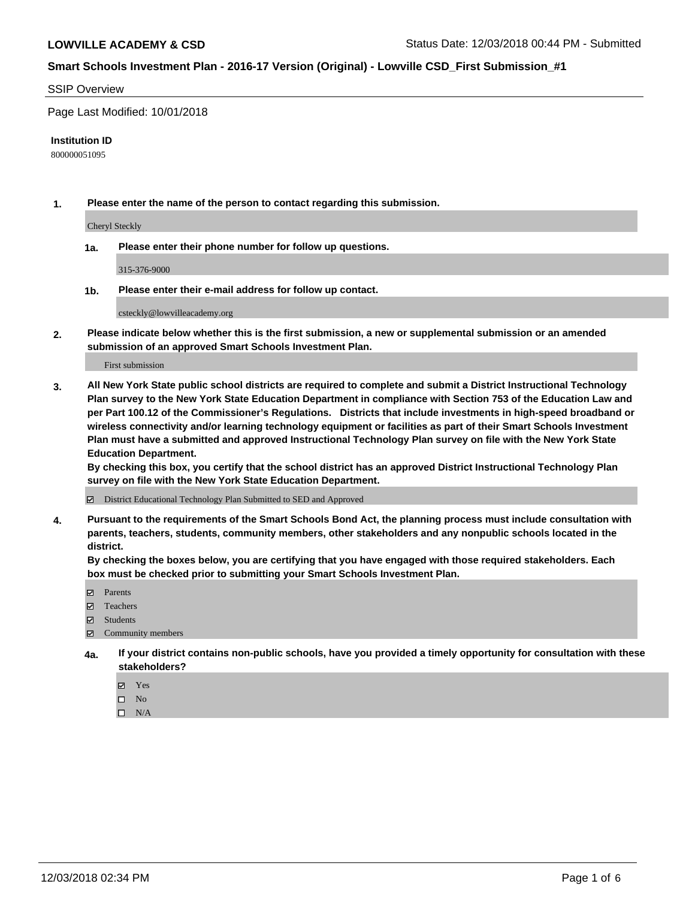#### SSIP Overview

Page Last Modified: 10/01/2018

#### **Institution ID**

800000051095

**1. Please enter the name of the person to contact regarding this submission.**

Cheryl Steckly

**1a. Please enter their phone number for follow up questions.**

315-376-9000

**1b. Please enter their e-mail address for follow up contact.**

csteckly@lowvilleacademy.org

**2. Please indicate below whether this is the first submission, a new or supplemental submission or an amended submission of an approved Smart Schools Investment Plan.**

First submission

**3. All New York State public school districts are required to complete and submit a District Instructional Technology Plan survey to the New York State Education Department in compliance with Section 753 of the Education Law and per Part 100.12 of the Commissioner's Regulations. Districts that include investments in high-speed broadband or wireless connectivity and/or learning technology equipment or facilities as part of their Smart Schools Investment Plan must have a submitted and approved Instructional Technology Plan survey on file with the New York State Education Department.** 

**By checking this box, you certify that the school district has an approved District Instructional Technology Plan survey on file with the New York State Education Department.**

District Educational Technology Plan Submitted to SED and Approved

**4. Pursuant to the requirements of the Smart Schools Bond Act, the planning process must include consultation with parents, teachers, students, community members, other stakeholders and any nonpublic schools located in the district.** 

**By checking the boxes below, you are certifying that you have engaged with those required stakeholders. Each box must be checked prior to submitting your Smart Schools Investment Plan.**

- **□** Parents
- Teachers
- Students
- $\boxtimes$  Community members
- **4a. If your district contains non-public schools, have you provided a timely opportunity for consultation with these stakeholders?**
	- Yes
	- $\qquad \qquad$  No
	- $\square$  N/A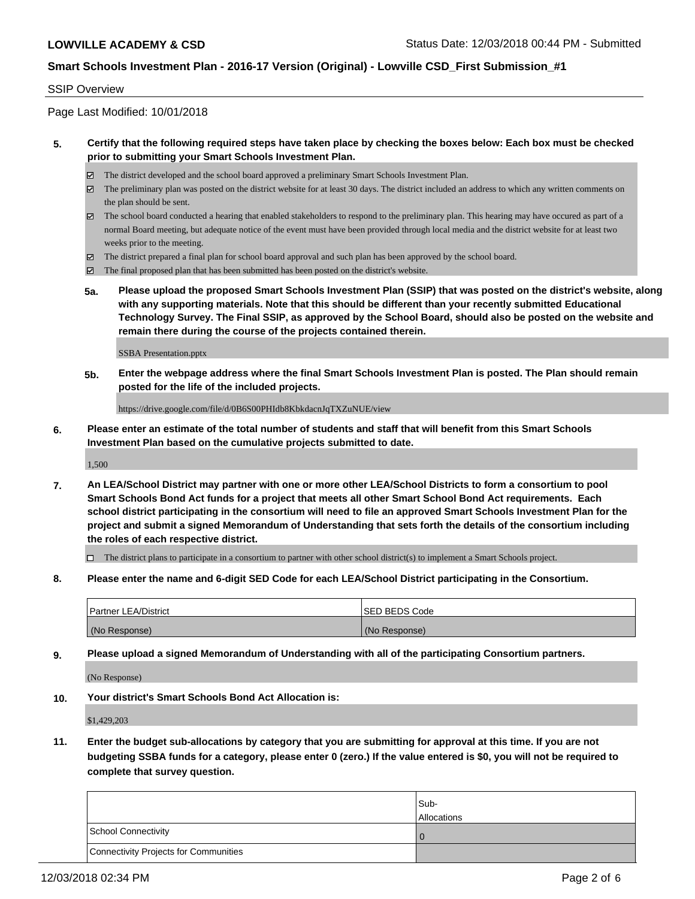#### SSIP Overview

Page Last Modified: 10/01/2018

### **5. Certify that the following required steps have taken place by checking the boxes below: Each box must be checked prior to submitting your Smart Schools Investment Plan.**

- The district developed and the school board approved a preliminary Smart Schools Investment Plan.
- $\boxtimes$  The preliminary plan was posted on the district website for at least 30 days. The district included an address to which any written comments on the plan should be sent.
- $\boxtimes$  The school board conducted a hearing that enabled stakeholders to respond to the preliminary plan. This hearing may have occured as part of a normal Board meeting, but adequate notice of the event must have been provided through local media and the district website for at least two weeks prior to the meeting.
- The district prepared a final plan for school board approval and such plan has been approved by the school board.
- $\boxtimes$  The final proposed plan that has been submitted has been posted on the district's website.
- **5a. Please upload the proposed Smart Schools Investment Plan (SSIP) that was posted on the district's website, along with any supporting materials. Note that this should be different than your recently submitted Educational Technology Survey. The Final SSIP, as approved by the School Board, should also be posted on the website and remain there during the course of the projects contained therein.**

SSBA Presentation.pptx

**5b. Enter the webpage address where the final Smart Schools Investment Plan is posted. The Plan should remain posted for the life of the included projects.**

https://drive.google.com/file/d/0B6S00PHIdb8KbkdacnJqTXZuNUE/view

**6. Please enter an estimate of the total number of students and staff that will benefit from this Smart Schools Investment Plan based on the cumulative projects submitted to date.**

1,500

**7. An LEA/School District may partner with one or more other LEA/School Districts to form a consortium to pool Smart Schools Bond Act funds for a project that meets all other Smart School Bond Act requirements. Each school district participating in the consortium will need to file an approved Smart Schools Investment Plan for the project and submit a signed Memorandum of Understanding that sets forth the details of the consortium including the roles of each respective district.**

 $\Box$  The district plans to participate in a consortium to partner with other school district(s) to implement a Smart Schools project.

**8. Please enter the name and 6-digit SED Code for each LEA/School District participating in the Consortium.**

| <b>Partner LEA/District</b> | <b>ISED BEDS Code</b> |
|-----------------------------|-----------------------|
| (No Response)               | (No Response)         |

**9. Please upload a signed Memorandum of Understanding with all of the participating Consortium partners.**

(No Response)

**10. Your district's Smart Schools Bond Act Allocation is:**

\$1,429,203

**11. Enter the budget sub-allocations by category that you are submitting for approval at this time. If you are not budgeting SSBA funds for a category, please enter 0 (zero.) If the value entered is \$0, you will not be required to complete that survey question.**

|                                              | Sub-<br><b>Allocations</b> |
|----------------------------------------------|----------------------------|
| <b>School Connectivity</b>                   |                            |
| <b>Connectivity Projects for Communities</b> |                            |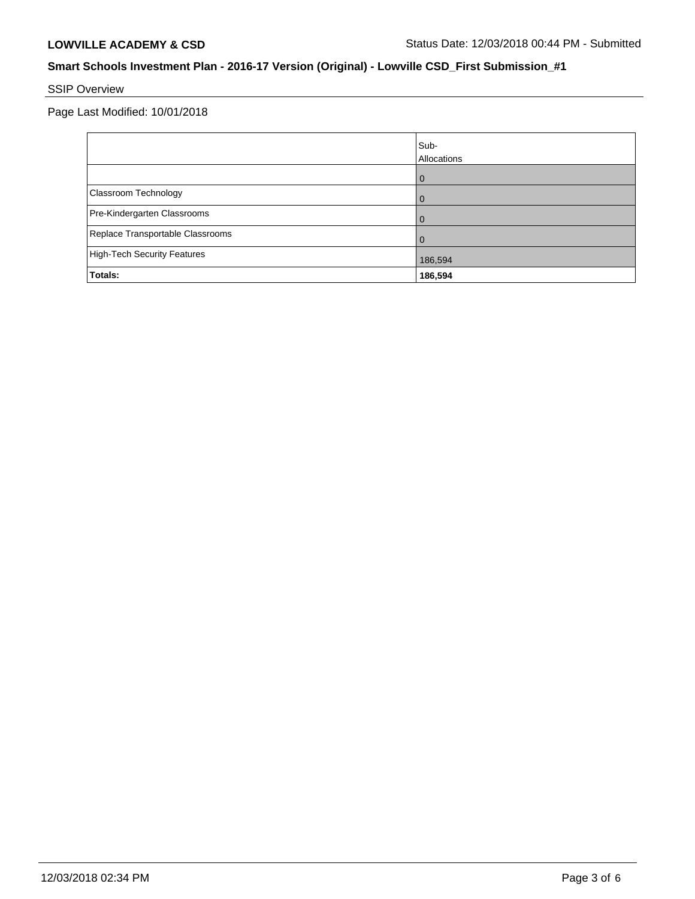# SSIP Overview

Page Last Modified: 10/01/2018

|                                    | Sub-<br>Allocations |
|------------------------------------|---------------------|
|                                    | $\mathbf{I}$        |
| Classroom Technology               |                     |
| Pre-Kindergarten Classrooms        |                     |
| Replace Transportable Classrooms   |                     |
| <b>High-Tech Security Features</b> | 186,594             |
| Totals:                            | 186,594             |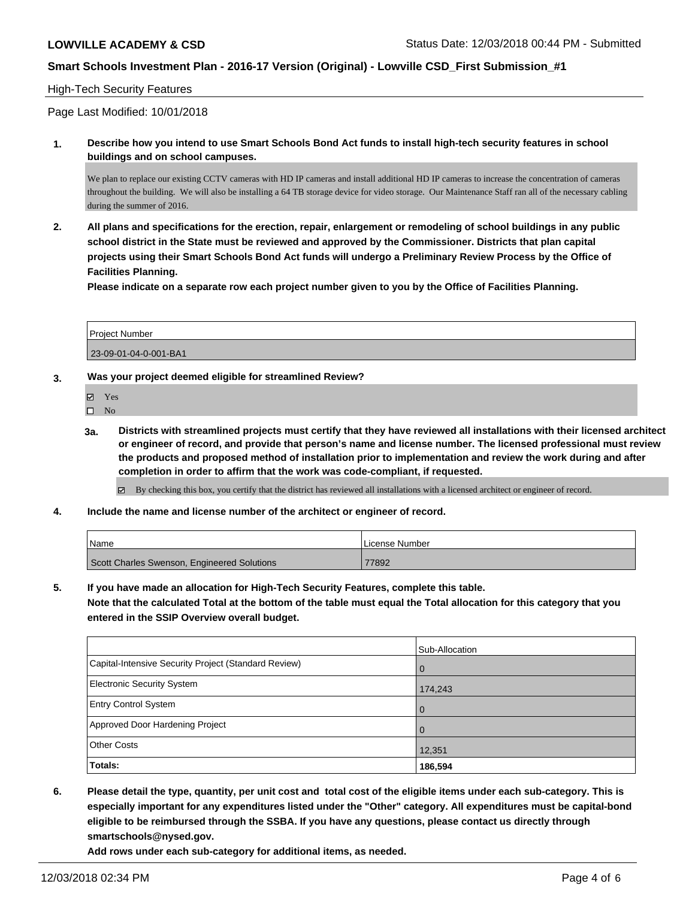### High-Tech Security Features

Page Last Modified: 10/01/2018

**1. Describe how you intend to use Smart Schools Bond Act funds to install high-tech security features in school buildings and on school campuses.**

We plan to replace our existing CCTV cameras with HD IP cameras and install additional HD IP cameras to increase the concentration of cameras throughout the building. We will also be installing a 64 TB storage device for video storage. Our Maintenance Staff ran all of the necessary cabling during the summer of 2016.

**2. All plans and specifications for the erection, repair, enlargement or remodeling of school buildings in any public school district in the State must be reviewed and approved by the Commissioner. Districts that plan capital projects using their Smart Schools Bond Act funds will undergo a Preliminary Review Process by the Office of Facilities Planning.** 

**Please indicate on a separate row each project number given to you by the Office of Facilities Planning.**

| <b>Project Number</b> |  |
|-----------------------|--|
| 23-09-01-04-0-001-BA1 |  |

### **3. Was your project deemed eligible for streamlined Review?**

Yes

 $\square$  No

**3a. Districts with streamlined projects must certify that they have reviewed all installations with their licensed architect or engineer of record, and provide that person's name and license number. The licensed professional must review the products and proposed method of installation prior to implementation and review the work during and after completion in order to affirm that the work was code-compliant, if requested.**

By checking this box, you certify that the district has reviewed all installations with a licensed architect or engineer of record.

**4. Include the name and license number of the architect or engineer of record.**

| <b>Name</b>                                 | ı License Number |
|---------------------------------------------|------------------|
| Scott Charles Swenson, Engineered Solutions | 77892            |

**5. If you have made an allocation for High-Tech Security Features, complete this table.**

**Note that the calculated Total at the bottom of the table must equal the Total allocation for this category that you entered in the SSIP Overview overall budget.**

|                                                      | Sub-Allocation |
|------------------------------------------------------|----------------|
| Capital-Intensive Security Project (Standard Review) | l 0            |
| Electronic Security System                           | 174,243        |
| <b>Entry Control System</b>                          | l O            |
| Approved Door Hardening Project                      | $\overline{0}$ |
| <b>Other Costs</b>                                   | 12,351         |
| Totals:                                              | 186,594        |

**6. Please detail the type, quantity, per unit cost and total cost of the eligible items under each sub-category. This is especially important for any expenditures listed under the "Other" category. All expenditures must be capital-bond eligible to be reimbursed through the SSBA. If you have any questions, please contact us directly through smartschools@nysed.gov.**

**Add rows under each sub-category for additional items, as needed.**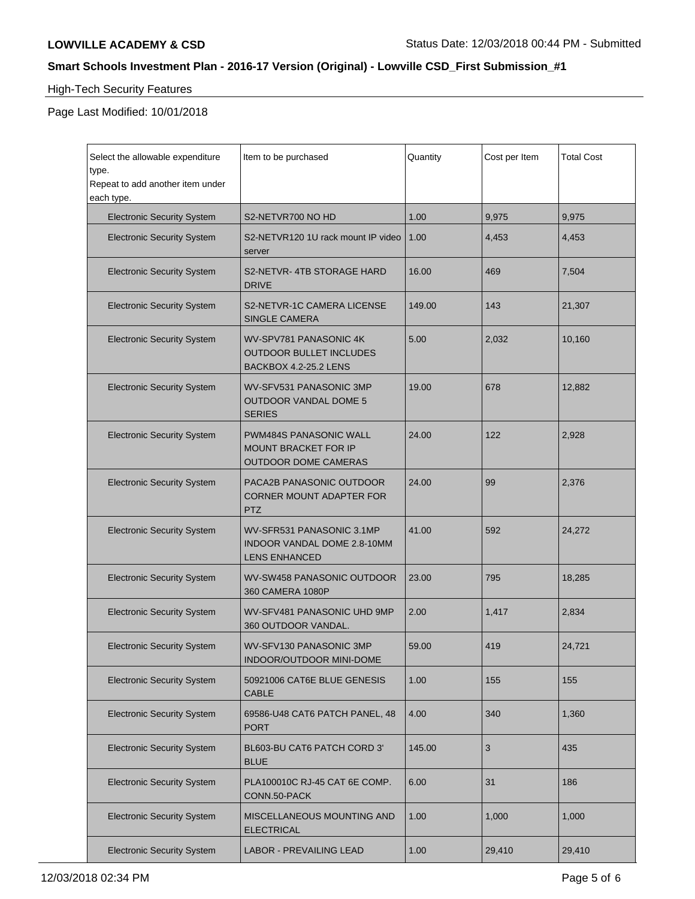# High-Tech Security Features

Page Last Modified: 10/01/2018

| Select the allowable expenditure<br>type.<br>Repeat to add another item under<br>each type. | Item to be purchased                                                                 | Quantity | Cost per Item | <b>Total Cost</b> |
|---------------------------------------------------------------------------------------------|--------------------------------------------------------------------------------------|----------|---------------|-------------------|
| <b>Electronic Security System</b>                                                           | S2-NETVR700 NO HD                                                                    | 1.00     | 9,975         | 9,975             |
| <b>Electronic Security System</b>                                                           | S2-NETVR120 1U rack mount IP video<br>server                                         | 1.00     | 4,453         | 4,453             |
| <b>Electronic Security System</b>                                                           | S2-NETVR-4TB STORAGE HARD<br><b>DRIVE</b>                                            | 16.00    | 469           | 7,504             |
| <b>Electronic Security System</b>                                                           | S2-NETVR-1C CAMERA LICENSE<br><b>SINGLE CAMERA</b>                                   | 149.00   | 143           | 21,307            |
| <b>Electronic Security System</b>                                                           | WV-SPV781 PANASONIC 4K<br><b>OUTDOOR BULLET INCLUDES</b><br>BACKBOX 4.2-25.2 LENS    | 5.00     | 2,032         | 10,160            |
| <b>Electronic Security System</b>                                                           | WV-SFV531 PANASONIC 3MP<br><b>OUTDOOR VANDAL DOME 5</b><br><b>SERIES</b>             | 19.00    | 678           | 12,882            |
| <b>Electronic Security System</b>                                                           | <b>PWM484S PANASONIC WALL</b><br>MOUNT BRACKET FOR IP<br><b>OUTDOOR DOME CAMERAS</b> | 24.00    | 122           | 2,928             |
| <b>Electronic Security System</b>                                                           | PACA2B PANASONIC OUTDOOR<br><b>CORNER MOUNT ADAPTER FOR</b><br><b>PTZ</b>            | 24.00    | 99            | 2,376             |
| <b>Electronic Security System</b>                                                           | WV-SFR531 PANASONIC 3.1MP<br>INDOOR VANDAL DOME 2.8-10MM<br><b>LENS ENHANCED</b>     | 41.00    | 592           | 24,272            |
| <b>Electronic Security System</b>                                                           | WV-SW458 PANASONIC OUTDOOR<br>360 CAMERA 1080P                                       | 23.00    | 795           | 18,285            |
| <b>Electronic Security System</b>                                                           | WV-SFV481 PANASONIC UHD 9MP<br>360 OUTDOOR VANDAL.                                   | 2.00     | 1,417         | 2,834             |
| <b>Electronic Security System</b>                                                           | WV-SFV130 PANASONIC 3MP<br>INDOOR/OUTDOOR MINI-DOME                                  | 59.00    | 419           | 24,721            |
| <b>Electronic Security System</b>                                                           | 50921006 CAT6E BLUE GENESIS<br>CABLE                                                 | 1.00     | 155           | 155               |
| <b>Electronic Security System</b>                                                           | 69586-U48 CAT6 PATCH PANEL, 48<br><b>PORT</b>                                        | 4.00     | 340           | 1,360             |
| <b>Electronic Security System</b>                                                           | BL603-BU CAT6 PATCH CORD 3'<br><b>BLUE</b>                                           | 145.00   | 3             | 435               |
| <b>Electronic Security System</b>                                                           | PLA100010C RJ-45 CAT 6E COMP.<br>CONN.50-PACK                                        | 6.00     | 31            | 186               |
| <b>Electronic Security System</b>                                                           | MISCELLANEOUS MOUNTING AND<br><b>ELECTRICAL</b>                                      | 1.00     | 1,000         | 1,000             |
| <b>Electronic Security System</b>                                                           | <b>LABOR - PREVAILING LEAD</b>                                                       | 1.00     | 29,410        | 29,410            |